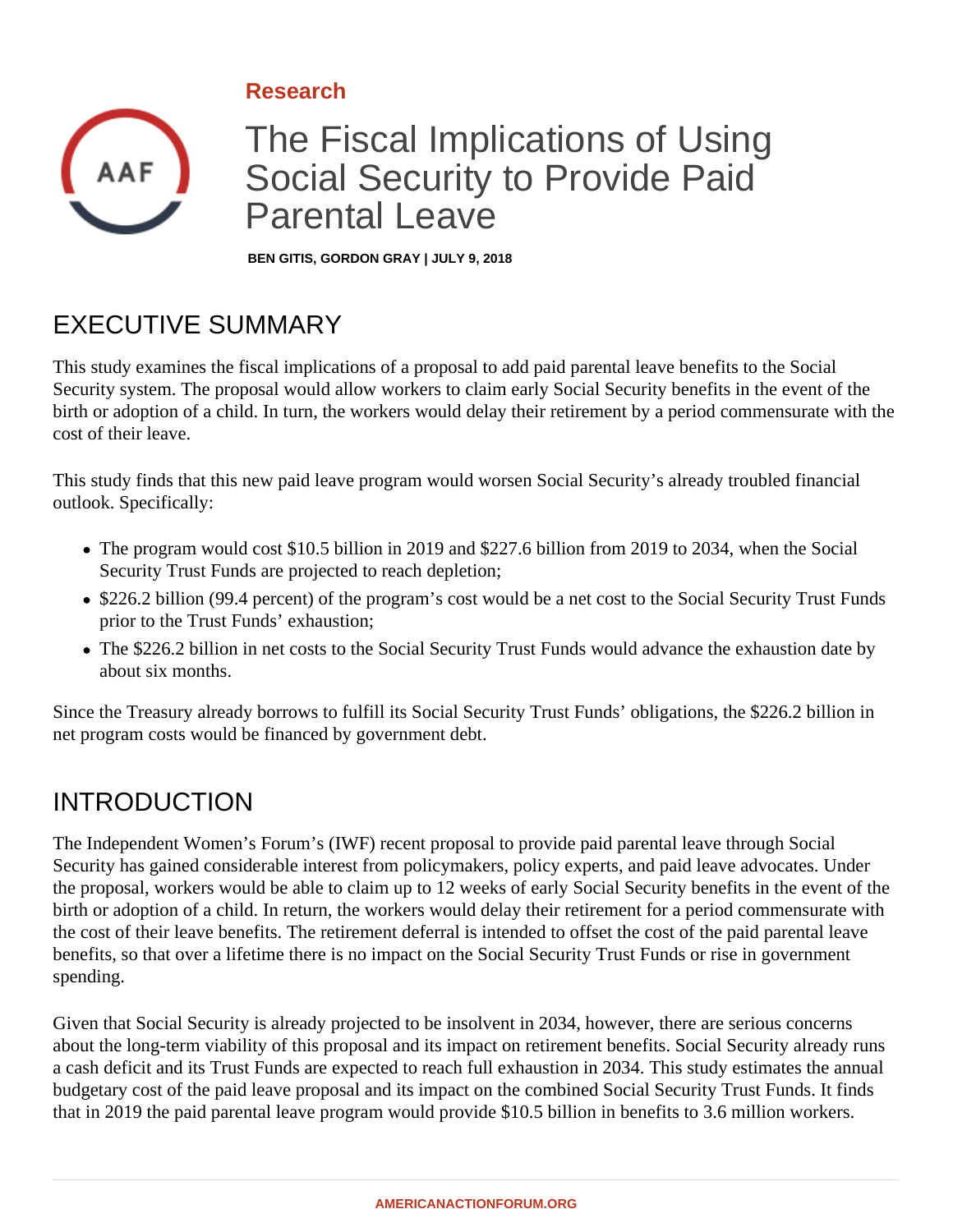#### **Research**



# The Fiscal Implications of Using Social Security to Provide Paid Parental Leave

**BEN GITIS, GORDON GRAY | JULY 9, 2018**

# EXECUTIVE SUMMARY

This study examines the fiscal implications of a proposal to add paid parental leave benefits to the Social Security system. The proposal would allow workers to claim early Social Security benefits in the event of the birth or adoption of a child. In turn, the workers would delay their retirement by a period commensurate with the cost of their leave.

This study finds that this new paid leave program would worsen Social Security's already troubled financial outlook. Specifically:

- The program would cost \$10.5 billion in 2019 and \$227.6 billion from 2019 to 2034, when the Social Security Trust Funds are projected to reach depletion;
- \$226.2 billion (99.4 percent) of the program's cost would be a net cost to the Social Security Trust Funds prior to the Trust Funds' exhaustion;
- The \$226.2 billion in net costs to the Social Security Trust Funds would advance the exhaustion date by about six months.

Since the Treasury already borrows to fulfill its Social Security Trust Funds' obligations, the \$226.2 billion in net program costs would be financed by government debt.

### INTRODUCTION

The Independent Women's Forum's (IWF) recent proposal to provide paid parental leave through Social Security has gained considerable interest from policymakers, policy experts, and paid leave advocates. Under the proposal, workers would be able to claim up to 12 weeks of early Social Security benefits in the event of the birth or adoption of a child. In return, the workers would delay their retirement for a period commensurate with the cost of their leave benefits. The retirement deferral is intended to offset the cost of the paid parental leave benefits, so that over a lifetime there is no impact on the Social Security Trust Funds or rise in government spending.

Given that Social Security is already projected to be insolvent in 2034, however, there are serious concerns about the long-term viability of this proposal and its impact on retirement benefits. Social Security already runs a cash deficit and its Trust Funds are expected to reach full exhaustion in 2034. This study estimates the annual budgetary cost of the paid leave proposal and its impact on the combined Social Security Trust Funds. It finds that in 2019 the paid parental leave program would provide \$10.5 billion in benefits to 3.6 million workers.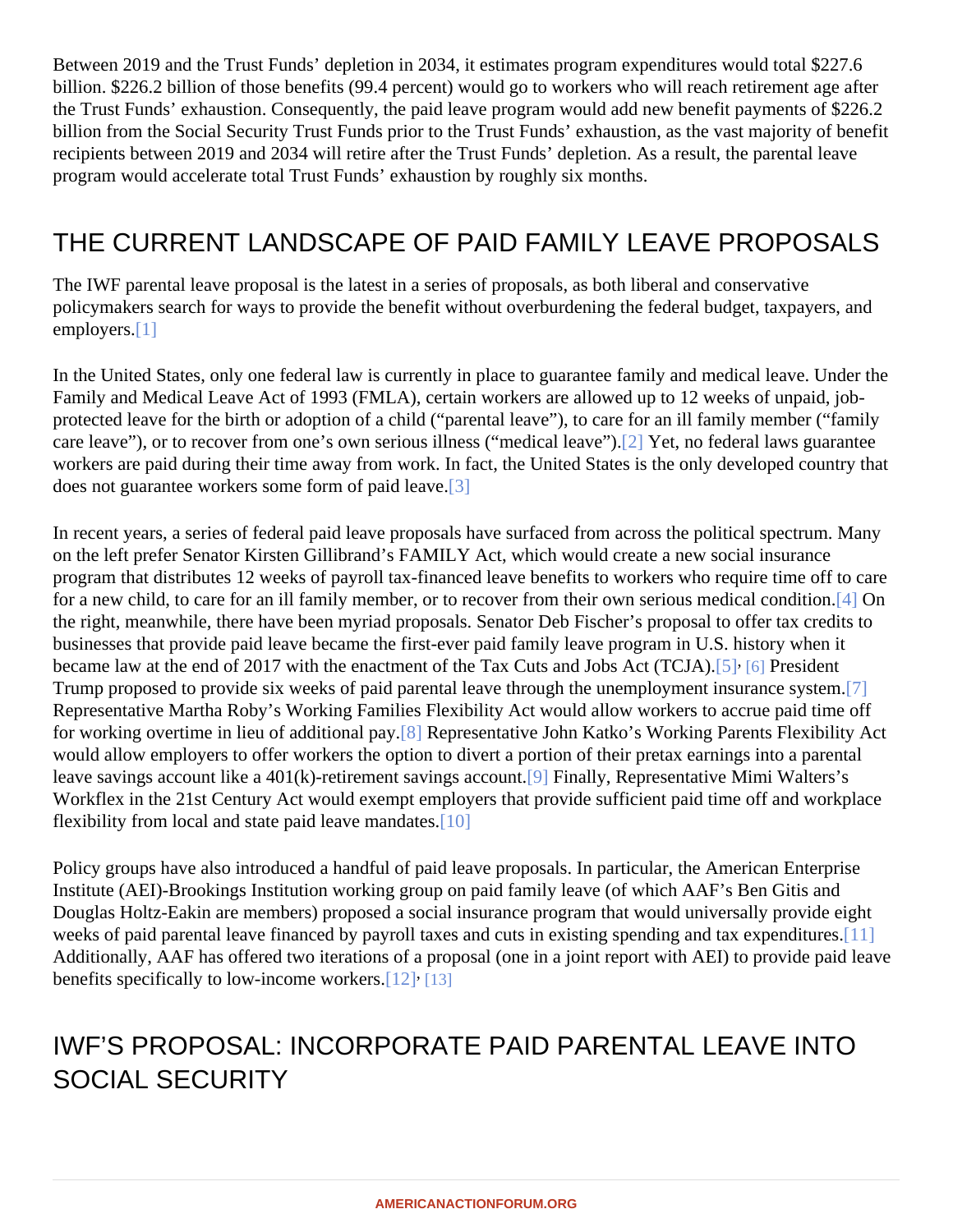<span id="page-1-0"></span>Between 2019 and the Trust Funds' depletion in 2034, it estimates program expenditures would total \$227.6 billion. \$226.2 billion of those benefits (99.4 percent) would go to workers who will reach retirement age after the Trust Funds' exhaustion. Consequently, the paid leave program would add new benefit payments of \$226. billion from the Social Security Trust Funds prior to the Trust Funds' exhaustion, as the vast majority of benef recipients between 2019 and 2034 will retire after the Trust Funds' depletion. As a result, the parental leave program would accelerate total Trust Funds' exhaustion by roughly six months.

### THE CURRENT LANDSCAPE OF PAID FAMILY LEAVE PROPOSALS

The IWF parental leave proposal is the latest in a series of proposals, as both liberal and conservative policymakers search for ways to provide the benefit without overburdening the federal budget, taxpayers, and employers<sup>[1]</sup>

In the United States, only one federal law is currently in place to guarantee family and medical leave. Under t Family and Medical Leave Act of 1993 (FMLA), certain workers are allowed up to 12 weeks of unpaid, jobprotected leave for the birth or adoption of a child ("parental leave"), to care for an ill family member ("family care l[eave](#page-7-0)"), or to recover from one's own serious illness ("medical leave") et, no federal laws guarantee workers are paid during their time away from work. In fact, the United States is the only developed country that does not guarantee workers some form of paid [leav](#page-7-0)e.

In recent years, a series of federal paid leave proposals have surfaced from across the political spectrum. Ma on the left prefer Senator Kirsten Gillibrand's FAMILY Act, which would create a new social insurance program that distributes 12 weeks of payroll tax-financed leave benefits to workers who require time off to car for a new child, to care for an ill family member, or to recover from their own serious medical c[ond](#page-7-0)ition. the right, meanwhile, there have been myriad proposals. Senator Deb Fischer's proposal to offer tax credits to businesses that provide paid leave became the first-ever paid family leave program in U.S. history when it became law at the end of 2017 with the enactment of the Tax Cuts and Jobs Act [6] Q6] AP resident Trump proposed to provide six weeks of paid parental leave through the unemployment insuran[ce s](#page-7-0)ystem. Representative Martha Roby's Working Families Flexibility Act would allow workers to accrue paid time off for working overtime in lieu of additional p[ay.](#page-7-0) Representative John Katko's Working Parents Flexibility Act would allow employers to offer workers the option to divert a portion of their pretax earnings into a parental leave savings ac[cou](#page-7-0)nt like a 401(k)-retirement savings accountinally, Representative Mimi Walters's Workflex in the 21st Century Act would exempt employers that provide sufficient paid time off and workplace flexibility from local and state paid leave mand[ates.](#page-7-0)

Policy groups have also introduced a handful of paid leave proposals. In particular, the American Enterprise Institute (AEI)-Brookings Institution working group on paid family leave (of which AAF's Ben Gitis and Douglas Holtz-Eakin are members) proposed a social insurance program that would universally provide eight weeks of paid parental leave financed by payroll taxes and cuts in existing s[pend](#page-7-0)ing and tax expenditures. Additionally, AAF has offered two iterations of a proposal (one in a joint report with AEI) to provide paid leave benefits specifically to low-income workers. [\[13\]](#page-7-0)

# IWF'S PROPOSAL: INCORPORATE PAID PARENTAL LEAVE INTO SOCIAL SECURITY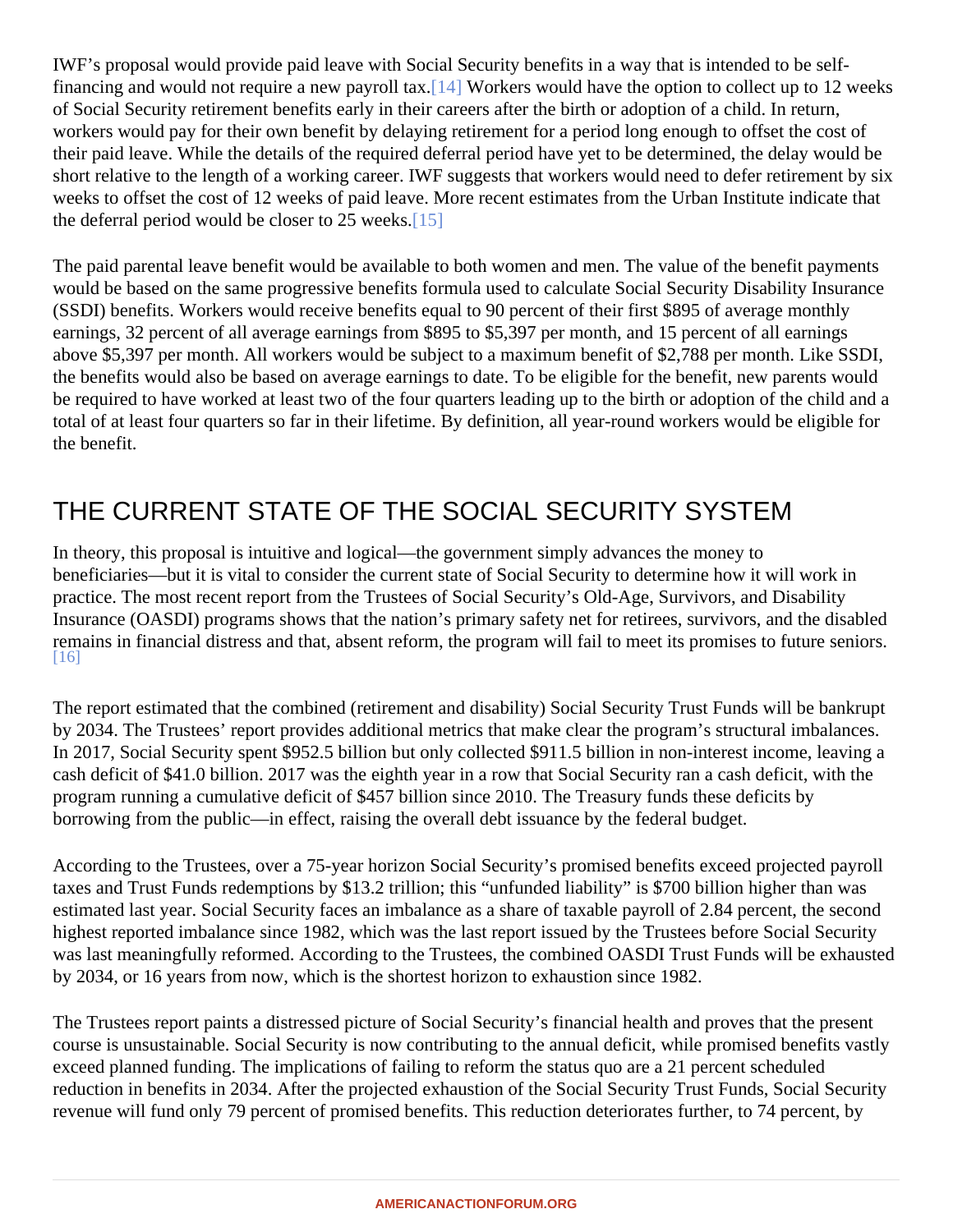<span id="page-2-0"></span>IWF's proposal would provide paid leave with Social Security benefits in a way that is intended to be selffinancing and would not require a new payroll [tax.](#page-8-0) Workers would have the option to collect up to 12 weeks of Social Security retirement benefits early in their careers after the birth or adoption of a child. In return, workers would pay for their own benefit by delaying retirement for a period long enough to offset the cost of their paid leave. While the details of the required deferral period have yet to be determined, the delay would b short relative to the length of a working career. IWF suggests that workers would need to defer retirement by weeks to offset the cost of 12 weeks of paid leave. More recent estimates from the Urban Institute indicate that the deferral period would be closer to 25 w[eeks](#page-8-0).

The paid parental leave benefit would be available to both women and men. The value of the benefit payment would be based on the same progressive benefits formula used to calculate Social Security Disability Insuran (SSDI) benefits. Workers would receive benefits equal to 90 percent of their first \$895 of average monthly earnings, 32 percent of all average earnings from \$895 to \$5,397 per month, and 15 percent of all earnings above \$5,397 per month. All workers would be subject to a maximum benefit of \$2,788 per month. Like SSDI, the benefits would also be based on average earnings to date. To be eligible for the benefit, new parents would be required to have worked at least two of the four quarters leading up to the birth or adoption of the child and total of at least four quarters so far in their lifetime. By definition, all year-round workers would be eligible for the benefit.

# THE CURRENT STATE OF THE SOCIAL SECURITY SYSTEM

In theory, this proposal is intuitive and logical—the government simply advances the money to beneficiaries—but it is vital to consider the current state of Social Security to determine how it will work in practice. The most recent report from the Trustees of Social Security's Old-Age, Survivors, and Disability Insurance (OASDI) programs shows that the nation's primary safety net for retirees, survivors, and the disable remains in financial distress and that, absent reform, the program will fail to meet its promises to future senior [\[16\]](#page-8-0)

The report estimated that the combined (retirement and disability) Social Security Trust Funds will be bankrupt by 2034. The Trustees' report provides additional metrics that make clear the program's structural imbalances. In 2017, Social Security spent \$952.5 billion but only collected \$911.5 billion in non-interest income, leaving a cash deficit of \$41.0 billion. 2017 was the eighth year in a row that Social Security ran a cash deficit, with the program running a cumulative deficit of \$457 billion since 2010. The Treasury funds these deficits by borrowing from the public—in effect, raising the overall debt issuance by the federal budget.

According to the Trustees, over a 75-year horizon Social Security's promised benefits exceed projected payroll taxes and Trust Funds redemptions by \$13.2 trillion; this "unfunded liability" is \$700 billion higher than was estimated last year. Social Security faces an imbalance as a share of taxable payroll of 2.84 percent, the seco highest reported imbalance since 1982, which was the last report issued by the Trustees before Social Security was last meaningfully reformed. According to the Trustees, the combined OASDI Trust Funds will be exhaust by 2034, or 16 years from now, which is the shortest horizon to exhaustion since 1982.

The Trustees report paints a distressed picture of Social Security's financial health and proves that the present course is unsustainable. Social Security is now contributing to the annual deficit, while promised benefits vast exceed planned funding. The implications of failing to reform the status quo are a 21 percent scheduled reduction in benefits in 2034. After the projected exhaustion of the Social Security Trust Funds, Social Security revenue will fund only 79 percent of promised benefits. This reduction deteriorates further, to 74 percent, by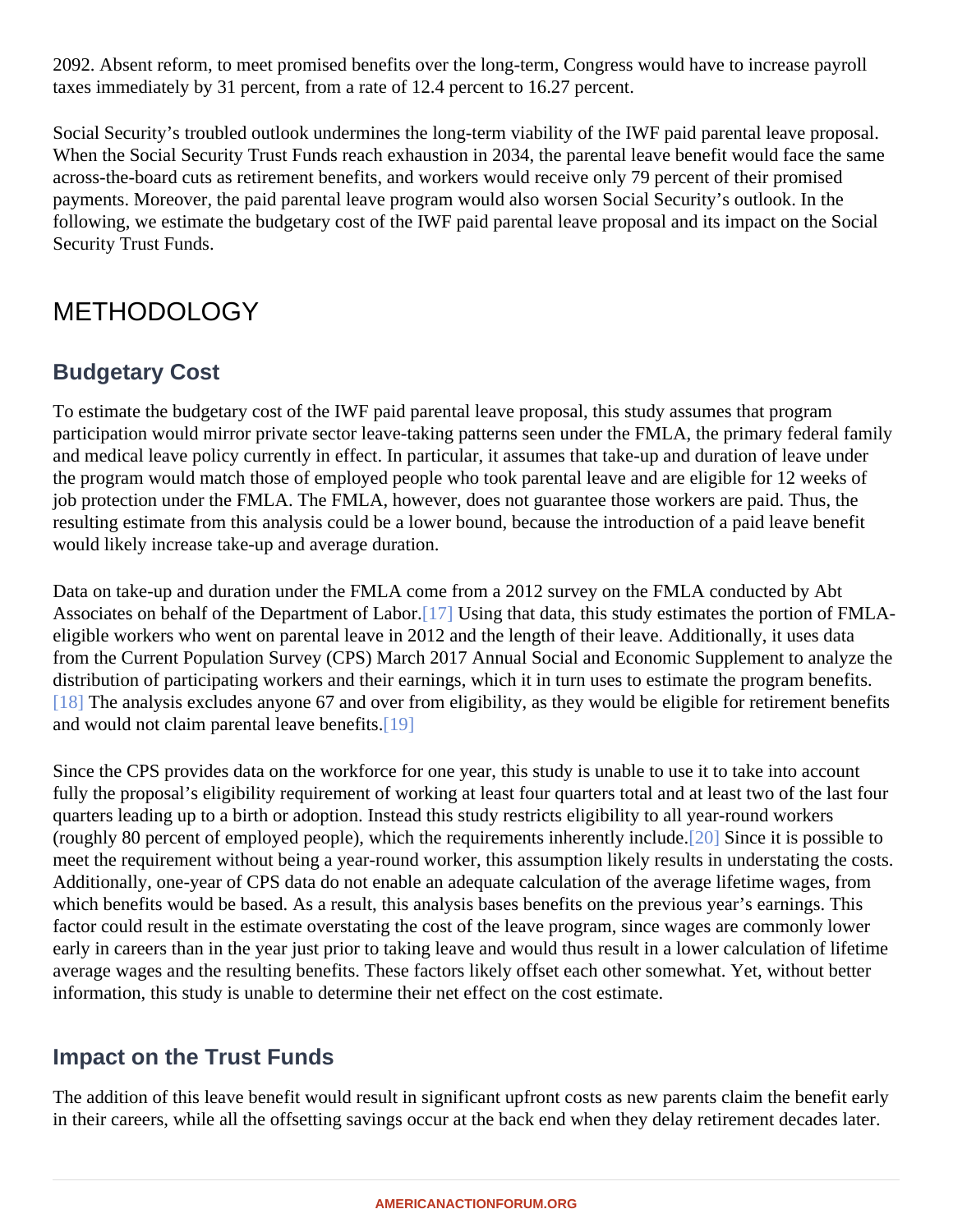<span id="page-3-0"></span>2092. Absent reform, to meet promised benefits over the long-term, Congress would have to increase payroll taxes immediately by 31 percent, from a rate of 12.4 percent to 16.27 percent.

Social Security's troubled outlook undermines the long-term viability of the IWF paid parental leave proposal. When the Social Security Trust Funds reach exhaustion in 2034, the parental leave benefit would face the same across-the-board cuts as retirement benefits, and workers would receive only 79 percent of their promised payments. Moreover, the paid parental leave program would also worsen Social Security's outlook. In the following, we estimate the budgetary cost of the IWF paid parental leave proposal and its impact on the Social Security Trust Funds.

### **METHODOLOGY**

#### Budgetary Cost

To estimate the budgetary cost of the IWF paid parental leave proposal, this study assumes that program participation would mirror private sector leave-taking patterns seen under the FMLA, the primary federal famil and medical leave policy currently in effect. In particular, it assumes that take-up and duration of leave under the program would match those of employed people who took parental leave and are eligible for 12 weeks of job protection under the FMLA. The FMLA, however, does not guarantee those workers are paid. Thus, the resulting estimate from this analysis could be a lower bound, because the introduction of a paid leave benefit would likely increase take-up and average duration.

Data on take-up and duration under the FMLA come from a 2012 survey on the FMLA conducted by Abt Associates on behalf of the Department of L[abor](#page-8-0). Using that data, this study estimates the portion of FMLAeligible workers who went on parental leave in 2012 and the length of their leave. Additionally, it uses data from the Current Population Survey (CPS) March 2017 Annual Social and Economic Supplement to analyze t distribution of participating workers and their earnings, which it in turn uses to estimate the program benefits. [\[18\]](#page-8-0) The analysis excludes anyone 67 and over from eligibility, as they would be eligible for retirement benefit and would not claim parental leave ben[efits.](#page-8-0)

Since the CPS provides data on the workforce for one year, this study is unable to use it to take into account fully the proposal's eligibility requirement of working at least four quarters total and at least two of the last four quarters leading up to a birth or adoption. Instead this study restricts eligibility to all year-round workers (roughly 80 percent of employed people), which the requirements inherently i[nclu](#page-8-0)de ince it is possible to meet the requirement without being a year-round worker, this assumption likely results in understating the cost Additionally, one-year of CPS data do not enable an adequate calculation of the average lifetime wages, from which benefits would be based. As a result, this analysis bases benefits on the previous year's earnings. This factor could result in the estimate overstating the cost of the leave program, since wages are commonly lower early in careers than in the year just prior to taking leave and would thus result in a lower calculation of lifetim average wages and the resulting benefits. These factors likely offset each other somewhat. Yet, without bette information, this study is unable to determine their net effect on the cost estimate.

#### Impact on the Trust Funds

The addition of this leave benefit would result in significant upfront costs as new parents claim the benefit ear in their careers, while all the offsetting savings occur at the back end when they delay retirement decades late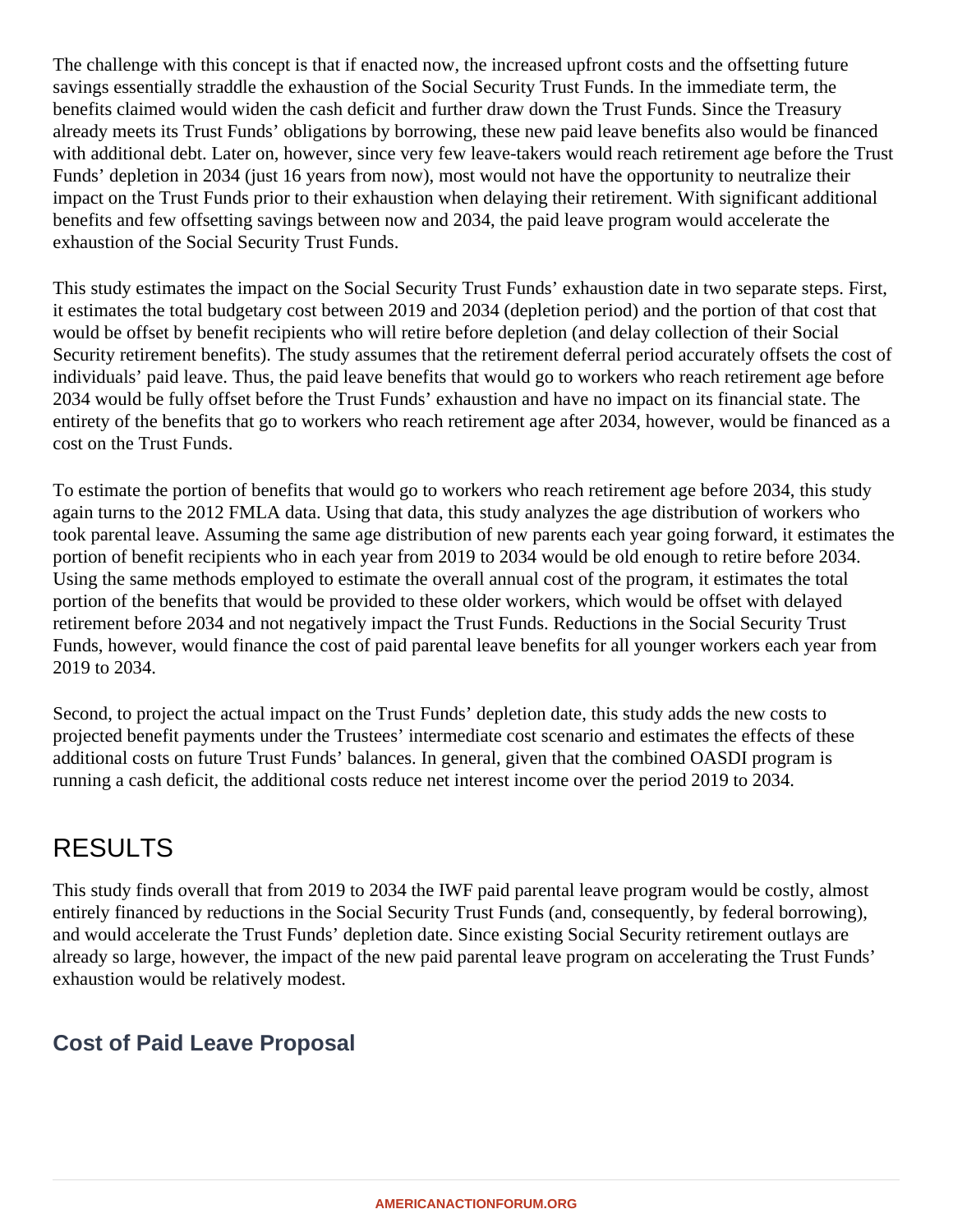The challenge with this concept is that if enacted now, the increased upfront costs and the offsetting future savings essentially straddle the exhaustion of the Social Security Trust Funds. In the immediate term, the benefits claimed would widen the cash deficit and further draw down the Trust Funds. Since the Treasury already meets its Trust Funds' obligations by borrowing, these new paid leave benefits also would be financed with additional debt. Later on, however, since very few leave-takers would reach retirement age before the Trust Funds' depletion in 2034 (just 16 years from now), most would not have the opportunity to neutralize their impact on the Trust Funds prior to their exhaustion when delaying their retirement. With significant additional benefits and few offsetting savings between now and 2034, the paid leave program would accelerate the exhaustion of the Social Security Trust Funds.

This study estimates the impact on the Social Security Trust Funds' exhaustion date in two separate steps. First, it estimates the total budgetary cost between 2019 and 2034 (depletion period) and the portion of that cost that would be offset by benefit recipients who will retire before depletion (and delay collection of their Social Security retirement benefits). The study assumes that the retirement deferral period accurately offsets the cost of individuals' paid leave. Thus, the paid leave benefits that would go to workers who reach retirement age before 2034 would be fully offset before the Trust Funds' exhaustion and have no impact on its financial state. The entirety of the benefits that go to workers who reach retirement age after 2034, however, would be financed as a cost on the Trust Funds.

To estimate the portion of benefits that would go to workers who reach retirement age before 2034, this study again turns to the 2012 FMLA data. Using that data, this study analyzes the age distribution of workers who took parental leave. Assuming the same age distribution of new parents each year going forward, it estimates the portion of benefit recipients who in each year from 2019 to 2034 would be old enough to retire before 2034. Using the same methods employed to estimate the overall annual cost of the program, it estimates the total portion of the benefits that would be provided to these older workers, which would be offset with delayed retirement before 2034 and not negatively impact the Trust Funds. Reductions in the Social Security Trust Funds, however, would finance the cost of paid parental leave benefits for all younger workers each year from 2019 to 2034.

Second, to project the actual impact on the Trust Funds' depletion date, this study adds the new costs to projected benefit payments under the Trustees' intermediate cost scenario and estimates the effects of these additional costs on future Trust Funds' balances. In general, given that the combined OASDI program is running a cash deficit, the additional costs reduce net interest income over the period 2019 to 2034.

### RESULTS

This study finds overall that from 2019 to 2034 the IWF paid parental leave program would be costly, almost entirely financed by reductions in the Social Security Trust Funds (and, consequently, by federal borrowing), and would accelerate the Trust Funds' depletion date. Since existing Social Security retirement outlays are already so large, however, the impact of the new paid parental leave program on accelerating the Trust Funds' exhaustion would be relatively modest.

#### **Cost of Paid Leave Proposal**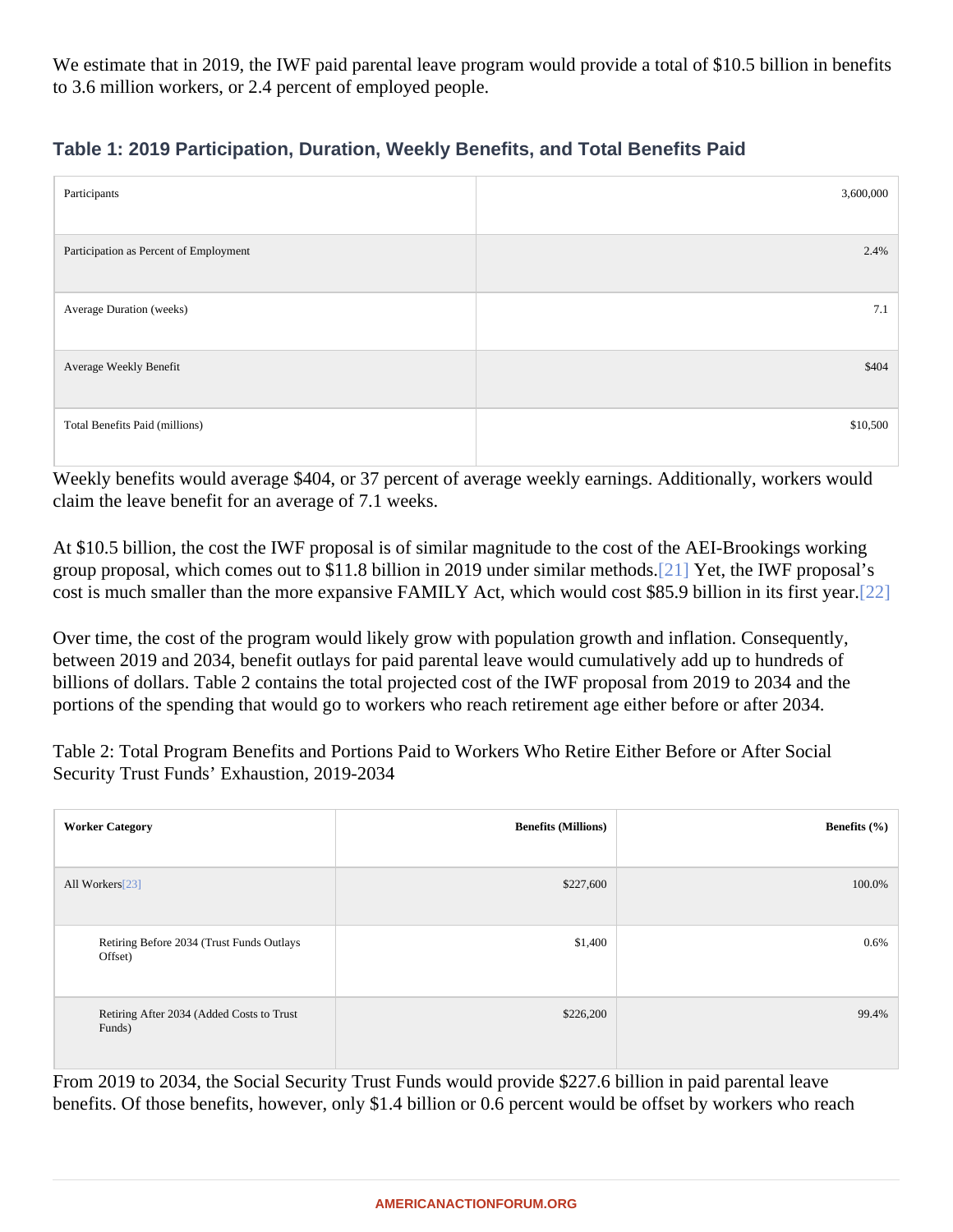<span id="page-5-0"></span>We estimate that in 2019, the IWF paid parental leave program would provide a total of \$10.5 billion in benefi to 3.6 million workers, or 2.4 percent of employed people.

| Table 1: 2019 Participation, Duration, Weekly Benefits, and Total Benefits Paid |  |  |  |
|---------------------------------------------------------------------------------|--|--|--|

| Participants                           | 3,600,000 |
|----------------------------------------|-----------|
| Participation as Percent of Employment | 2.4%      |
| Average Duration (weeks)               | 7.1       |
| Average Weekly Benefit                 | \$404     |
| <b>Total Benefits Paid (millions)</b>  | \$10,500  |

Weekly benefits would average \$404, or 37 percent of average weekly earnings. Additionally, workers would claim the leave benefit for an average of 7.1 weeks.

At \$10.5 billion, the cost the IWF proposal is of similar magnitude to the cost of the AEI-Brookings working group proposal, which comes out to \$11.8 billion in 2019 under similar m[ethod](#page-8-0)set, the IWF proposal's cost is much smaller than the more expansive FAMILY Act, which would cost \$85.9 billion in its fir[st ye](#page-8-0)ar.

Over time, the cost of the program would likely grow with population growth and inflation. Consequently, between 2019 and 2034, benefit outlays for paid parental leave would cumulatively add up to hundreds of billions of dollars. Table 2 contains the total projected cost of the IWF proposal from 2019 to 2034 and the portions of the spending that would go to workers who reach retirement age either before or after 2034.

Table 2: Total Program Benefits and Portions Paid to Workers Who Retire Either Before or After Social Security Trust Funds' Exhaustion, 2019-2034

| <b>Worker Category</b>                               | Benefits (Millions) | Benefits (%) |
|------------------------------------------------------|---------------------|--------------|
| All Workers <sup>[23]</sup>                          | \$227,600           | 100.0%       |
| Retiring Before 2034 (Trust Funds Outlays<br>Offset) | \$1,400             | 0.6%         |
| Retiring After 2034 (Added Costs to Trust<br>Funds)  | \$226,200           | 99.4%        |

From 2019 to 2034, the Social Security Trust Funds would provide \$227.6 billion in paid parental leave benefits. Of those benefits, however, only \$1.4 billion or 0.6 percent would be offset by workers who reach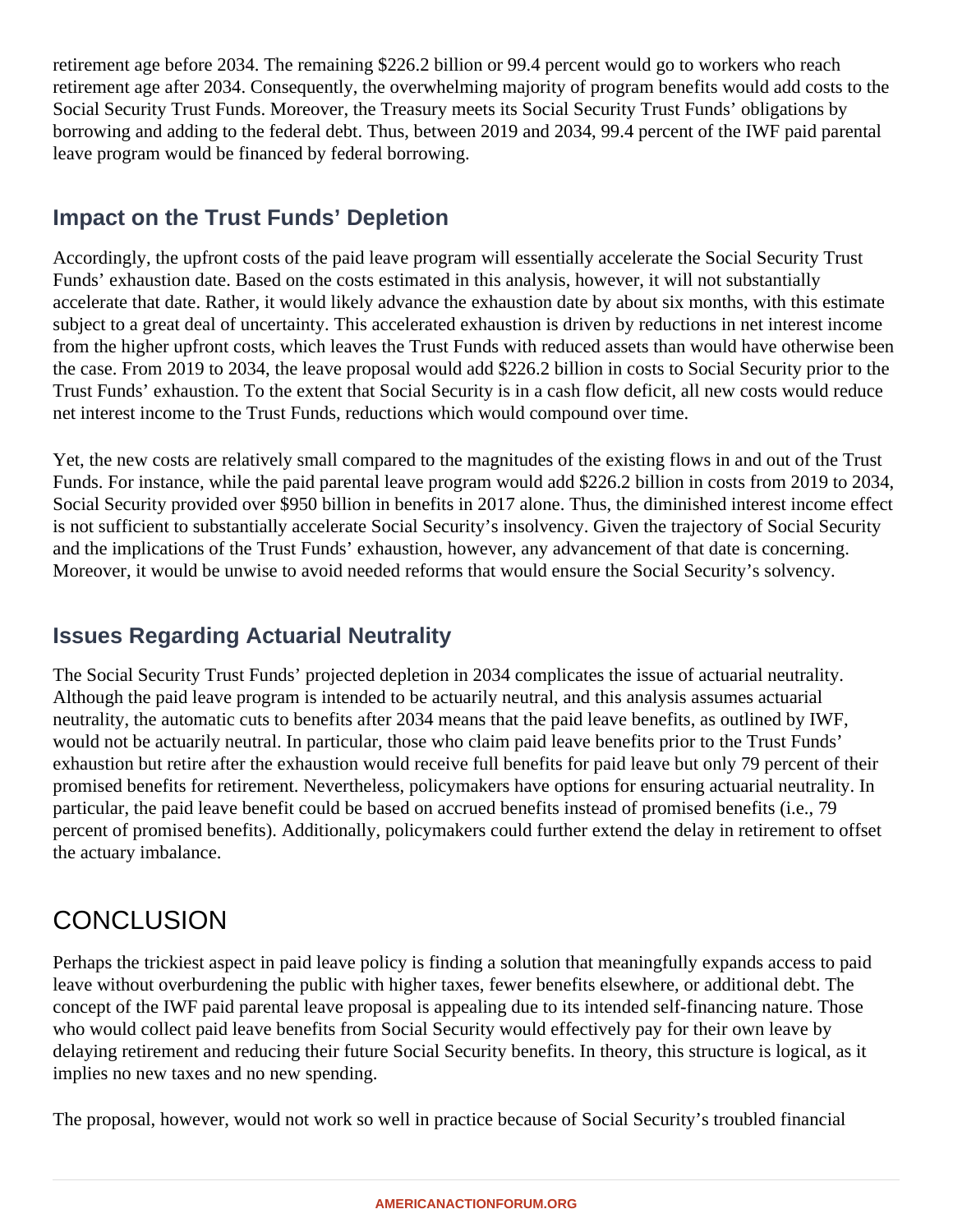retirement age before 2034. The remaining \$226.2 billion or 99.4 percent would go to workers who reach retirement age after 2034. Consequently, the overwhelming majority of program benefits would add costs to the Social Security Trust Funds. Moreover, the Treasury meets its Social Security Trust Funds' obligations by borrowing and adding to the federal debt. Thus, between 2019 and 2034, 99.4 percent of the IWF paid parental leave program would be financed by federal borrowing.

#### **Impact on the Trust Funds' Depletion**

Accordingly, the upfront costs of the paid leave program will essentially accelerate the Social Security Trust Funds' exhaustion date. Based on the costs estimated in this analysis, however, it will not substantially accelerate that date. Rather, it would likely advance the exhaustion date by about six months, with this estimate subject to a great deal of uncertainty. This accelerated exhaustion is driven by reductions in net interest income from the higher upfront costs, which leaves the Trust Funds with reduced assets than would have otherwise been the case. From 2019 to 2034, the leave proposal would add \$226.2 billion in costs to Social Security prior to the Trust Funds' exhaustion. To the extent that Social Security is in a cash flow deficit, all new costs would reduce net interest income to the Trust Funds, reductions which would compound over time.

Yet, the new costs are relatively small compared to the magnitudes of the existing flows in and out of the Trust Funds. For instance, while the paid parental leave program would add \$226.2 billion in costs from 2019 to 2034, Social Security provided over \$950 billion in benefits in 2017 alone. Thus, the diminished interest income effect is not sufficient to substantially accelerate Social Security's insolvency. Given the trajectory of Social Security and the implications of the Trust Funds' exhaustion, however, any advancement of that date is concerning. Moreover, it would be unwise to avoid needed reforms that would ensure the Social Security's solvency.

#### **Issues Regarding Actuarial Neutrality**

The Social Security Trust Funds' projected depletion in 2034 complicates the issue of actuarial neutrality. Although the paid leave program is intended to be actuarily neutral, and this analysis assumes actuarial neutrality, the automatic cuts to benefits after 2034 means that the paid leave benefits, as outlined by IWF, would not be actuarily neutral. In particular, those who claim paid leave benefits prior to the Trust Funds' exhaustion but retire after the exhaustion would receive full benefits for paid leave but only 79 percent of their promised benefits for retirement. Nevertheless, policymakers have options for ensuring actuarial neutrality. In particular, the paid leave benefit could be based on accrued benefits instead of promised benefits (i.e., 79 percent of promised benefits). Additionally, policymakers could further extend the delay in retirement to offset the actuary imbalance.

# **CONCLUSION**

Perhaps the trickiest aspect in paid leave policy is finding a solution that meaningfully expands access to paid leave without overburdening the public with higher taxes, fewer benefits elsewhere, or additional debt. The concept of the IWF paid parental leave proposal is appealing due to its intended self-financing nature. Those who would collect paid leave benefits from Social Security would effectively pay for their own leave by delaying retirement and reducing their future Social Security benefits. In theory, this structure is logical, as it implies no new taxes and no new spending.

The proposal, however, would not work so well in practice because of Social Security's troubled financial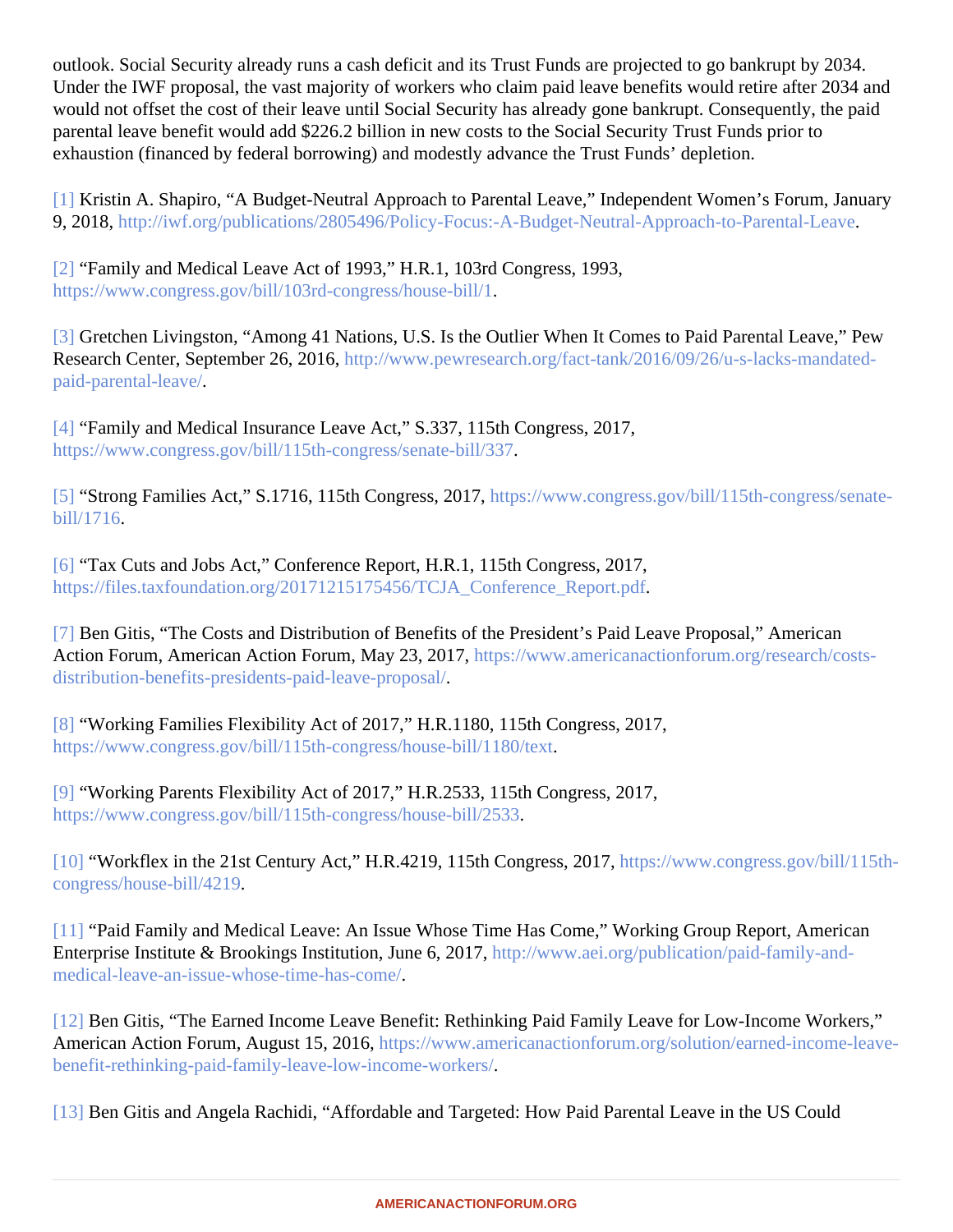<span id="page-7-0"></span>outlook. Social Security already runs a cash deficit and its Trust Funds are projected to go bankrupt by 2034. Under the IWF proposal, the vast majority of workers who claim paid leave benefits would retire after 2034 and would not offset the cost of their leave until Social Security has already gone bankrupt. Consequently, the pai parental leave benefit would add \$226.2 billion in new costs to the Social Security Trust Funds prior to exhaustion (financed by federal borrowing) and modestly advance the Trust Funds' depletion.

[\[1\]](#page-1-0) Kristin A. Shapiro, "A Budget-Neutral Approach to Parental Leave," Independent Women's Forum, Januar 9, 2018 http://iwf.org/publications/2805496/Policy-Focus:-A-Budget-Neutral-Approach-to-Parental-Leave

[\[2\]](#page-1-0) "Family and Medical Leave Act of 1993," H.R.1, 103rd Congress, 1993, [https://www.congress.gov/bill/103rd-congress/house-b](�� h t t p s : / / w w w . c o n g r e s s . g o v / b i l l / 1 0 3 r d - c o n g r e s s / h o u s e - b i l l / 1)ill/1 .

[\[3\]](#page-1-0) Gretchen Livingston, "Among 41 Nations, U.S. Is the Outlier When It Comes to Paid Parental Leave," Pew Research Center, September 26, 2016;//www.pewresearch.org/fact-tank/2016/09/26/u-s-lacks-mandated[paid-parental-leav](�� h t t p : / / w w w . p e w r e s e a r c h . o r g / f a c t - t a n k / 2 0 1 6 / 0 9 / 2 6 / u - s - l a c k s - m a n d a t e d - p a i d - p a r e n t a l - l e a v e /)e/ .

[\[4\]](#page-1-0) "Family and Medical Insurance Leave Act," S.337, 115th Congress, 2017, [https://www.congress.gov/bill/115th-congress/senate-bil](�� h t t p s : / / w w w . c o n g r e s s . g o v / b i l l / 1 1 5 t h - c o n g r e s s / s e n a t e - b i l l / 3 3 7)l/337

[\[5\]](#page-1-0) "Strong Families Act," S.1716, 115th Congress, 2011<sub>[DS</sub>://www.congress.gov/bill/115th-congress/senate[bill/1716](�� h t t p s : / / w w w . c o n g r e s s . g o v / b i l l / 1 1 5 t h - c o n g r e s s / s e n a t e - b i l l / 1 7 1 6).

[\[6\]](#page-1-0) "Tax Cuts and Jobs Act," Conference Report, H.R.1, 115th Congress, 2017, [https://files.taxfoundation.org/20171215175456/TCJA\\_Conference\\_Repo](�� h t t p s : / / f i l e s . t a x f o u n d a t i o n . o r g / 2 0 1 7 1 2 1 5 1 7 5 4 5 6 / T C J A _ C o n f e r e n c e _ R e p o r t . p d f)rt.pdf

[\[7\]](#page-1-0) Ben Gitis, "The Costs and Distribution of Benefits of the President's Paid Leave Proposal," American Action Forum, American Action Forum, May 23, 2017 basil/www.americanactionforum.org/research/costs[distribution-benefits-presidents-paid-leave-propo](�� h t t p s : / / w w w . a m e r i c a n a c t i o n f o r u m . o r g / r e s e a r c h / c o s t s - d i s t r i b u t i o n - b e n e f i t s - p r e s i d e n t s - p a i d - l e a v e - p r o p o s a l /)sal/ .

[\[8\]](#page-1-0) "Working Families Flexibility Act of 2017," H.R.1180, 115th Congress, 2017, [https://www.congress.gov/bill/115th-congress/house-bill/1180](�� h t t p s : / / w w w . c o n g r e s s . g o v / b i l l / 1 1 5 t h - c o n g r e s s / h o u s e - b i l l / 1 1 8 0 / t e x t)/text

[\[9\]](#page-1-0) "Working Parents Flexibility Act of 2017," H.R.2533, 115th Congress, 2017, [https://www.congress.gov/bill/115th-congress/house-bill/2](�� h t t p s : / / w w w . c o n g r e s s . g o v / b i l l / 1 1 5 t h - c o n g r e s s / h o u s e - b i l l / 2 5 3 3)533

[\[10\]](#page-1-0) "Workflex in the 21st Century Act," H.R.4219, 115th Congress, 20th<sub>0s:</sub>//www.congress.gov/bill/115th[congress/house-bill/421](�� h t t p s : / / w w w . c o n g r e s s . g o v / b i l l / 1 1 5 t h - c o n g r e s s / h o u s e - b i l l / 4 2 1 9)9[.](�� h t t p s : / / w w w . c o n g r e s s . g o v / b i l l / 1 1 5 t h - c o n g r e s s / h o u s e - b i l l / 4 2 1 9)

[\[11\]](#page-1-0) "Paid Family and Medical Leave: An Issue Whose Time Has Come," Working Group Report, American Enterprise Institute & Brookings Institution, June 6, 2017<sub>0</sub>://www.aei.org/publication/paid-family-and[medical-leave-an-issue-whose-time-has-co](�� h t t p s : / / w w w . a e i . o r g / p u b l i c a t i o n / p a i d - f a m i l y - a n d - m e d i c a l - l e a v e - a n - i s s u e - w h o s e - t i m e - h a s - c o m e /)me/ .

[\[12\]](#page-1-0) Ben Gitis, "The Earned Income Leave Benefit: Rethinking Paid Family Leave for Low-Income Workers," American Action Forum, August 15, 2016tps://www.americanactionforum.org/solution/earned-income-leave[benefit-rethinking-paid-family-leave-low-income-worke](�� h t t p s : / / w w w . a m e r i c a n a c t i o n f o r u m . o r g / s o l u t i o n / e a r n e d - i n c o m e - l e a v e - b e n e f i t - r e t h i n k i n g - p a i d - f a m i l y - l e a v e - l o w - i n c o m e - w o r k e r s /)rs/ .

[\[13\]](#page-1-0) Ben Gitis and Angela Rachidi, "Affordable and Targeted: How Paid Parental Leave in the US Could